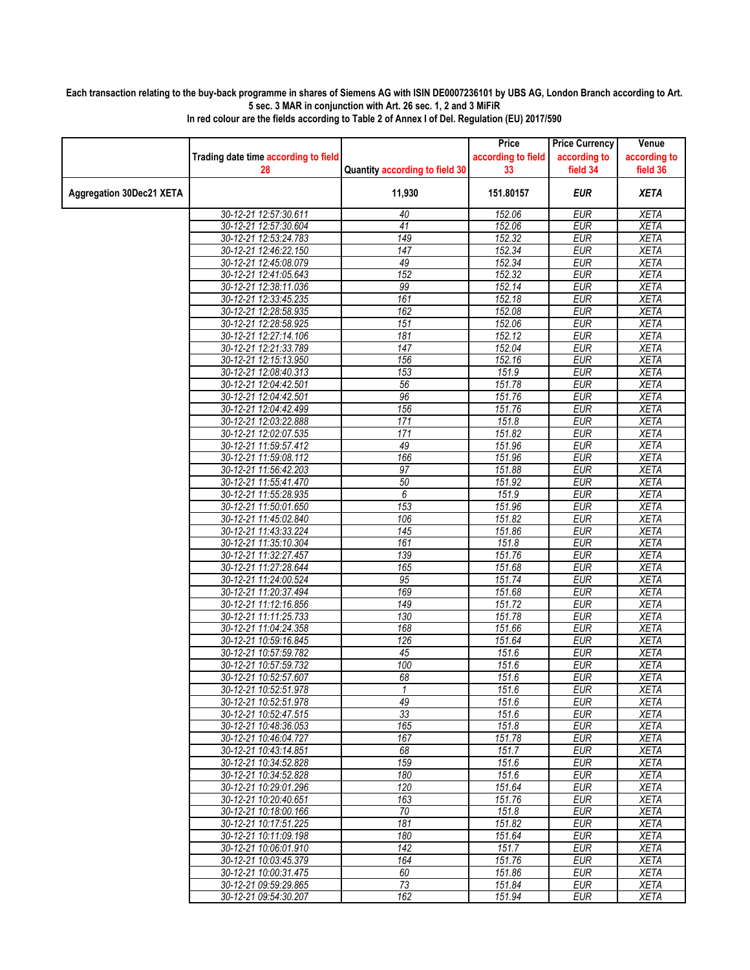## **Each transaction relating to the buy-back programme in shares of Siemens AG with ISIN DE0007236101 by UBS AG, London Branch according to Art. 5 sec. 3 MAR in conjunction with Art. 26 sec. 1, 2 and 3 MiFiR**

|                                 |                                                |                                | Price              | <b>Price Currency</b>    | Venue                      |
|---------------------------------|------------------------------------------------|--------------------------------|--------------------|--------------------------|----------------------------|
|                                 | Trading date time according to field           |                                | according to field | according to             | according to               |
|                                 | 28                                             | Quantity according to field 30 | 33                 | field 34                 | field 36                   |
| <b>Aggregation 30Dec21 XETA</b> |                                                | 11,930                         | 151.80157          | <b>EUR</b>               | <b>XETA</b>                |
|                                 | 30-12-21 12:57:30.611                          | 40                             | 152.06             | <b>EUR</b>               | <b>XETA</b>                |
|                                 | 30-12-21 12:57:30.604                          | 41                             | 152.06             | <b>EUR</b>               | <b>XETA</b>                |
|                                 | 30-12-21 12:53:24.783                          | 149                            | 152.32             | <b>EUR</b>               | <b>XETA</b>                |
|                                 | 30-12-21 12:46:22.150                          | 147                            | 152.34             | <b>EUR</b>               | <b>XETA</b>                |
|                                 | 30-12-21 12:45:08.079                          | 49                             | 152.34             | <b>EUR</b>               | <b>XETA</b>                |
|                                 | 30-12-21 12:41:05.643                          | 152                            | 152.32             | <b>EUR</b>               | <b>XETA</b>                |
|                                 | 30-12-21 12:38:11.036                          | 99                             | 152.14             | <b>EUR</b>               | <b>XETA</b>                |
|                                 | 30-12-21 12:33:45.235                          | 161                            | 152.18             | <b>EUR</b>               | <b>XETA</b>                |
|                                 | 30-12-21 12:28:58.935                          | 162                            | 152.08             | <b>EUR</b>               | <b>XETA</b>                |
|                                 | 30-12-21 12:28:58.925                          | 151                            | 152.06<br>152.12   | <b>EUR</b>               | <b>XETA</b>                |
|                                 | 30-12-21 12:27:14.106<br>30-12-21 12:21:33.789 | 181<br>$\overline{147}$        | 152.04             | <b>EUR</b><br><b>EUR</b> | <b>XETA</b><br><b>XETA</b> |
|                                 | 30-12-21 12:15:13.950                          | 156                            | 152.16             | EUR                      | <b>XETA</b>                |
|                                 | 30-12-21 12:08:40.313                          | 153                            | 151.9              | <b>EUR</b>               | <b>XETA</b>                |
|                                 | 30-12-21 12:04:42.501                          | 56                             | 151.78             | <b>EUR</b>               | <b>XETA</b>                |
|                                 | 30-12-21 12:04:42.501                          | 96                             | 151.76             | <b>EUR</b>               | <b>XETA</b>                |
|                                 | 30-12-21 12:04:42.499                          | 156                            | 151.76             | <b>EUR</b>               | <b>XETA</b>                |
|                                 | 30-12-21 12:03:22.888                          | 171                            | 151.8              | <b>EUR</b>               | <b>XETA</b>                |
|                                 | 30-12-21 12:02:07.535                          | 171                            | 151.82             | <b>EUR</b>               | <b>XETA</b>                |
|                                 | 30-12-21 11:59:57.412                          | 49                             | 151.96             | <b>EUR</b>               | <b>XETA</b>                |
|                                 | 30-12-21 11:59:08.112                          | 166                            | 151.96             | <b>EUR</b>               | <b>XETA</b>                |
|                                 | 30-12-21 11:56:42.203                          | $\overline{97}$                | 151.88             | <b>EUR</b>               | <b>XETA</b>                |
|                                 | 30-12-21 11:55:41.470                          | 50                             | 151.92             | <b>EUR</b>               | <b>XETA</b>                |
|                                 | 30-12-21 11:55:28.935                          | 6                              | 151.9              | <b>EUR</b>               | <b>XETA</b>                |
|                                 | 30-12-21 11:50:01.650                          | 153                            | 151.96             | <b>EUR</b>               | <b>XETA</b>                |
|                                 | 30-12-21 11:45:02.840<br>30-12-21 11:43:33.224 | 106<br>145                     | 151.82<br>151.86   | <b>EUR</b><br><b>EUR</b> | <b>XETA</b><br><b>XETA</b> |
|                                 | 30-12-21 11:35:10.304                          | 161                            | 151.8              | <b>EUR</b>               | <b>XETA</b>                |
|                                 | 30-12-21 11:32:27.457                          | 139                            | 151.76             | <b>EUR</b>               | <b>XETA</b>                |
|                                 | 30-12-21 11:27:28.644                          | 165                            | 151.68             | <b>EUR</b>               | <b>XETA</b>                |
|                                 | 30-12-21 11:24:00.524                          | 95                             | 151.74             | <b>EUR</b>               | <b>XETA</b>                |
|                                 | 30-12-21 11:20:37.494                          | 169                            | 151.68             | <b>EUR</b>               | <b>XETA</b>                |
|                                 | 30-12-21 11:12:16.856                          | 149                            | 151.72             | <b>EUR</b>               | <b>XETA</b>                |
|                                 | 30-12-21 11:11:25.733                          | 130                            | 151.78             | <b>EUR</b>               | <b>XETA</b>                |
|                                 | 30-12-21 11:04:24.358                          | 168                            | 151.66             | <b>EUR</b>               | <b>XETA</b>                |
|                                 | 30-12-21 10:59:16.845                          | 126                            | 151.64             | <b>EUR</b>               | <b>XETA</b>                |
|                                 | 30-12-21 10:57:59.782                          | 45                             | 151.6              | <b>EUR</b>               | <b>XETA</b>                |
|                                 | 30-12-21 10:57:59.732                          | 100                            | 151.6<br>151.6     | <b>EUR</b>               | <b>XETA</b>                |
|                                 | 30-12-21 10:52:57.607<br>30-12-21 10:52:51.978 | 68<br>1                        | 151.6              | <b>EUR</b><br><b>EUR</b> | <b>XETA</b><br>XETA        |
|                                 | 30-12-21 10:52:51.978                          | 49                             | 151.6              | EUR                      | <b>XETA</b>                |
|                                 | 30-12-21 10:52:47.515                          | 33                             | 151.6              | <b>EUR</b>               | <b>XETA</b>                |
|                                 | 30-12-21 10:48:36.053                          | 165                            | 151.8              | EUR                      | <b>XETA</b>                |
|                                 | 30-12-21 10:46:04.727                          | 167                            | 151.78             | <b>EUR</b>               | <b>XETA</b>                |
|                                 | 30-12-21 10:43:14.851                          | 68                             | 151.7              | <b>EUR</b>               | <b>XETA</b>                |
|                                 | 30-12-21 10:34:52.828                          | 159                            | 151.6              | EUR                      | <b>XETA</b>                |
|                                 | 30-12-21 10:34:52.828                          | 180                            | 151.6              | <b>EUR</b>               | <b>XETA</b>                |
|                                 | 30-12-21 10:29:01.296                          | 120                            | 151.64             | <b>EUR</b>               | <b>XETA</b>                |
|                                 | 30-12-21 10:20:40.651                          | 163                            | 151.76             | <b>EUR</b>               | <b>XETA</b>                |
|                                 | 30-12-21 10:18:00.166                          | 70                             | 151.8              | <b>EUR</b>               | <b>XETA</b>                |
|                                 | 30-12-21 10:17:51.225<br>30-12-21 10:11:09.198 | 181<br>180                     | 151.82<br>151.64   | <b>EUR</b><br><b>EUR</b> | <b>XETA</b><br><b>XETA</b> |
|                                 | 30-12-21 10:06:01.910                          | 142                            | 151.7              | <b>EUR</b>               | <b>XETA</b>                |
|                                 | 30-12-21 10:03:45.379                          | 164                            | 151.76             | EUR                      | <b>XETA</b>                |
|                                 | 30-12-21 10:00:31.475                          | 60                             | 151.86             | <b>EUR</b>               | <b>XETA</b>                |
|                                 | 30-12-21 09:59:29.865                          | 73                             | 151.84             | <b>EUR</b>               | XETA                       |
|                                 | 30-12-21 09:54:30.207                          | 162                            | 151.94             | <b>EUR</b>               | <b>XETA</b>                |

**In red colour are the fields according to Table 2 of Annex I of Del. Regulation (EU) 2017/590**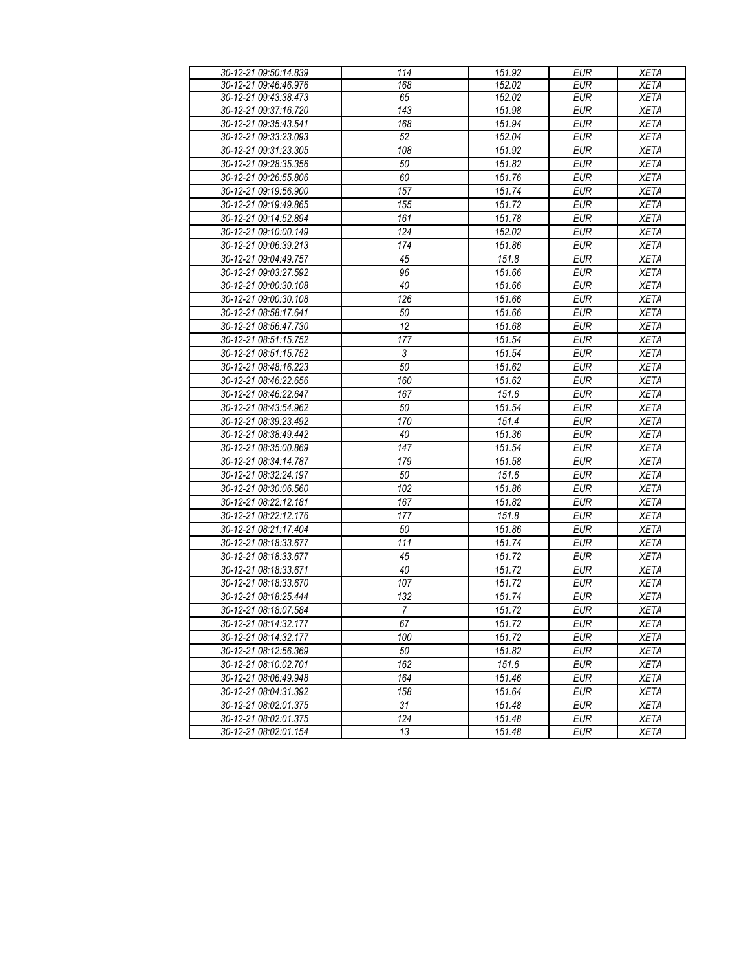| 30-12-21 09:50:14.839 | 114            | 151.92 | <b>EUR</b> | <b>XETA</b> |
|-----------------------|----------------|--------|------------|-------------|
| 30-12-21 09:46:46.976 | 168            | 152.02 | <b>EUR</b> | <b>XETA</b> |
| 30-12-21 09:43:38.473 | 65             | 152.02 | <b>EUR</b> | <b>XETA</b> |
| 30-12-21 09:37:16.720 | 143            | 151.98 | <b>EUR</b> | <b>XETA</b> |
| 30-12-21 09:35:43.541 | 168            | 151.94 | <b>EUR</b> | <b>XETA</b> |
| 30-12-21 09:33:23.093 | 52             | 152.04 | <b>EUR</b> | <b>XETA</b> |
| 30-12-21 09:31:23.305 | 108            | 151.92 | <b>EUR</b> | <b>XETA</b> |
| 30-12-21 09:28:35.356 | 50             | 151.82 | <b>EUR</b> | <b>XETA</b> |
| 30-12-21 09:26:55.806 | 60             | 151.76 | <b>EUR</b> | <b>XETA</b> |
| 30-12-21 09:19:56.900 | 157            | 151.74 | <b>EUR</b> | <b>XETA</b> |
| 30-12-21 09:19:49.865 | 155            | 151.72 | <b>EUR</b> | <b>XETA</b> |
| 30-12-21 09:14:52.894 | 161            | 151.78 | <b>EUR</b> | <b>XETA</b> |
| 30-12-21 09:10:00.149 | 124            | 152.02 | <b>EUR</b> | <b>XETA</b> |
| 30-12-21 09:06:39.213 | 174            | 151.86 | <b>EUR</b> | <b>XETA</b> |
| 30-12-21 09:04:49.757 | 45             | 151.8  | <b>EUR</b> | <b>XETA</b> |
| 30-12-21 09:03:27.592 | 96             | 151.66 | <b>EUR</b> | <b>XETA</b> |
| 30-12-21 09:00:30.108 | 40             | 151.66 | <b>EUR</b> | <b>XETA</b> |
| 30-12-21 09:00:30.108 | 126            | 151.66 | <b>EUR</b> | <b>XETA</b> |
| 30-12-21 08:58:17.641 | 50             | 151.66 | <b>EUR</b> | <b>XETA</b> |
| 30-12-21 08:56:47.730 | 12             | 151.68 | <b>EUR</b> | <b>XETA</b> |
| 30-12-21 08:51:15.752 | 177            | 151.54 | <b>EUR</b> | <b>XETA</b> |
| 30-12-21 08:51:15.752 | 3              | 151.54 | <b>EUR</b> | <b>XETA</b> |
| 30-12-21 08:48:16.223 | 50             | 151.62 | <b>EUR</b> | <b>XETA</b> |
| 30-12-21 08:46:22.656 | 160            | 151.62 | <b>EUR</b> | <b>XETA</b> |
| 30-12-21 08:46:22.647 | 167            | 151.6  | <b>EUR</b> | <b>XETA</b> |
| 30-12-21 08:43:54.962 | 50             | 151.54 | <b>EUR</b> | <b>XETA</b> |
| 30-12-21 08:39:23.492 | 170            | 151.4  | <b>EUR</b> | <b>XETA</b> |
| 30-12-21 08:38:49.442 | 40             | 151.36 | <b>EUR</b> | <b>XETA</b> |
| 30-12-21 08:35:00.869 | 147            | 151.54 | <b>EUR</b> | <b>XETA</b> |
| 30-12-21 08:34:14.787 | 179            | 151.58 | <b>EUR</b> | <b>XETA</b> |
| 30-12-21 08:32:24.197 | 50             | 151.6  | <b>EUR</b> | <b>XETA</b> |
| 30-12-21 08:30:06.560 | 102            | 151.86 | <b>EUR</b> | <b>XETA</b> |
| 30-12-21 08:22:12.181 | 167            | 151.82 | <b>EUR</b> | <b>XETA</b> |
| 30-12-21 08:22:12.176 | 177            | 151.8  | <b>EUR</b> | <b>XETA</b> |
| 30-12-21 08:21:17.404 | 50             | 151.86 | <b>EUR</b> | <b>XETA</b> |
| 30-12-21 08:18:33.677 | 111            | 151.74 | <b>EUR</b> | <b>XETA</b> |
| 30-12-21 08:18:33.677 | 45             | 151.72 | <b>EUR</b> | <b>XETA</b> |
| 30-12-21 08:18:33.671 | 40             | 151.72 | <b>EUR</b> | <b>XETA</b> |
| 30-12-21 08:18:33.670 | 107            | 151.72 | <b>EUR</b> | <b>XETA</b> |
| 30-12-21 08:18:25.444 | 132            | 151.74 | <b>EUR</b> | <b>XETA</b> |
| 30-12-21 08:18:07.584 | $\overline{7}$ | 151.72 | <b>EUR</b> | <b>XETA</b> |
| 30-12-21 08:14:32.177 | 67             | 151.72 | <b>EUR</b> | <b>XETA</b> |
| 30-12-21 08:14:32.177 | 100            | 151.72 | <b>EUR</b> | <b>XETA</b> |
| 30-12-21 08:12:56.369 | 50             | 151.82 | <b>EUR</b> | <b>XETA</b> |
| 30-12-21 08:10:02.701 | 162            | 151.6  | <b>EUR</b> | <b>XETA</b> |
| 30-12-21 08:06:49.948 | 164            | 151.46 | <b>EUR</b> | <b>XETA</b> |
| 30-12-21 08:04:31.392 | 158            | 151.64 | <b>EUR</b> | <b>XETA</b> |
| 30-12-21 08:02:01.375 | 31             | 151.48 | <b>EUR</b> | XETA        |
| 30-12-21 08:02:01.375 | 124            | 151.48 | <b>EUR</b> | <b>XETA</b> |
| 30-12-21 08:02:01.154 | 13             | 151.48 | <b>EUR</b> | <b>XETA</b> |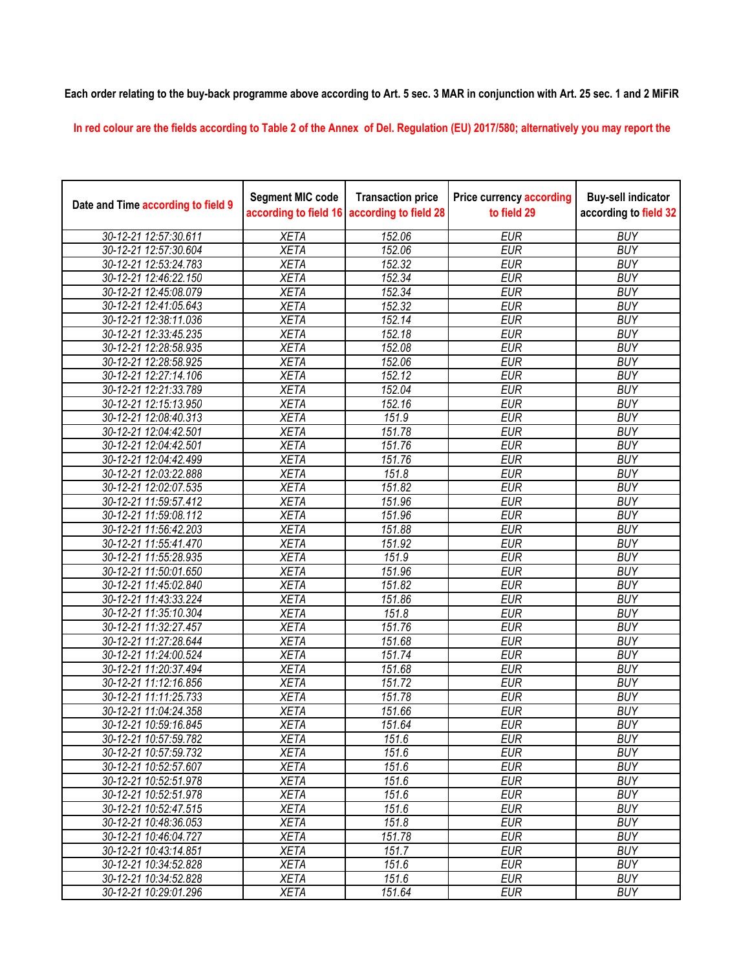**Each order relating to the buy-back programme above according to Art. 5 sec. 3 MAR in conjunction with Art. 25 sec. 1 and 2 MiFiR** 

**In red colour are the fields according to Table 2 of the Annex of Del. Regulation (EU) 2017/580; alternatively you may report the** 

| Date and Time according to field 9 | <b>Segment MIC code</b> | <b>Transaction price</b><br>according to field 16 according to field 28 | <b>Price currency according</b><br>to field 29 | <b>Buy-sell indicator</b><br>according to field 32 |
|------------------------------------|-------------------------|-------------------------------------------------------------------------|------------------------------------------------|----------------------------------------------------|
| 30-12-21 12:57:30.611              | <b>XETA</b>             | 152.06                                                                  | <b>EUR</b>                                     | <b>BUY</b>                                         |
| 30-12-21 12:57:30.604              | <b>XETA</b>             | 152.06                                                                  | <b>EUR</b>                                     | <b>BUY</b>                                         |
| 30-12-21 12:53:24.783              | <b>XETA</b>             | 152.32                                                                  | <b>EUR</b>                                     | <b>BUY</b>                                         |
| 30-12-21 12:46:22.150              | <b>XETA</b>             | 152.34                                                                  | <b>EUR</b>                                     | <b>BUY</b>                                         |
| 30-12-21 12:45:08.079              | <b>XETA</b>             | 152.34                                                                  | <b>EUR</b>                                     | <b>BUY</b>                                         |
| 30-12-21 12:41:05.643              | <b>XETA</b>             | 152.32                                                                  | <b>EUR</b>                                     | <b>BUY</b>                                         |
| 30-12-21 12:38:11.036              | <b>XETA</b>             | 152.14                                                                  | <b>EUR</b>                                     | <b>BUY</b>                                         |
| 30-12-21 12:33:45.235              | <b>XETA</b>             | $\overline{152}$ .18                                                    | <b>EUR</b>                                     | <b>BUY</b>                                         |
| 30-12-21 12:28:58.935              | <b>XETA</b>             | 152.08                                                                  | <b>EUR</b>                                     | <b>BUY</b>                                         |
| 30-12-21 12:28:58.925              | <b>XETA</b>             | 152.06                                                                  | <b>EUR</b>                                     | <b>BUY</b>                                         |
| 30-12-21 12:27:14.106              | <b>XETA</b>             | 152.12                                                                  | <b>EUR</b>                                     | <b>BUY</b>                                         |
| 30-12-21 12:21:33.789              | <b>XETA</b>             | 152.04                                                                  | <b>EUR</b>                                     | <b>BUY</b>                                         |
| 30-12-21 12:15:13.950              | <b>XETA</b>             | 152.16                                                                  | <b>EUR</b>                                     | <b>BUY</b>                                         |
| 30-12-21 12:08:40.313              | <b>XETA</b>             | 151.9                                                                   | <b>EUR</b>                                     | <b>BUY</b>                                         |
| 30-12-21 12:04:42.501              | <b>XETA</b>             | 151.78                                                                  | <b>EUR</b>                                     | <b>BUY</b>                                         |
| 30-12-21 12:04:42.501              | <b>XETA</b>             | 151.76                                                                  | <b>EUR</b>                                     | <b>BUY</b>                                         |
| 30-12-21 12:04:42.499              | <b>XETA</b>             | 151.76                                                                  | <b>EUR</b>                                     | <b>BUY</b>                                         |
| 30-12-21 12:03:22.888              | <b>XETA</b>             | 151.8                                                                   | <b>EUR</b>                                     | <b>BUY</b>                                         |
| 30-12-21 12:02:07.535              | <b>XETA</b>             | 151.82                                                                  | <b>EUR</b>                                     | <b>BUY</b>                                         |
| 30-12-21 11:59:57.412              | <b>XETA</b>             | 151.96                                                                  | <b>EUR</b>                                     | <b>BUY</b>                                         |
| 30-12-21 11:59:08.112              | <b>XETA</b>             | 151.96                                                                  | <b>EUR</b>                                     | <b>BUY</b>                                         |
| 30-12-21 11:56:42.203              | <b>XETA</b>             | 151.88                                                                  | <b>EUR</b>                                     | <b>BUY</b>                                         |
| 30-12-21 11:55:41.470              | <b>XETA</b>             | 151.92                                                                  | <b>EUR</b>                                     | <b>BUY</b>                                         |
| 30-12-21 11:55:28.935              | <b>XETA</b>             | 151.9                                                                   | <b>EUR</b>                                     | <b>BUY</b>                                         |
| 30-12-21 11:50:01.650              | <b>XETA</b>             | 151.96                                                                  | <b>EUR</b>                                     | <b>BUY</b>                                         |
| 30-12-21 11:45:02.840              | <b>XETA</b>             | 151.82                                                                  | <b>EUR</b>                                     | <b>BUY</b>                                         |
| 30-12-21 11:43:33.224              | <b>XETA</b>             | 151.86                                                                  | <b>EUR</b>                                     | <b>BUY</b>                                         |
| 30-12-21 11:35:10.304              | <b>XETA</b>             | 151.8                                                                   | <b>EUR</b>                                     | <b>BUY</b>                                         |
| 30-12-21 11:32:27.457              | <b>XETA</b>             | 151.76                                                                  | <b>EUR</b>                                     | <b>BUY</b>                                         |
| 30-12-21 11:27:28.644              | <b>XETA</b>             | 151.68                                                                  | <b>EUR</b>                                     | <b>BUY</b>                                         |
| 30-12-21 11:24:00.524              | <b>XETA</b>             | 151.74                                                                  | <b>EUR</b>                                     | <b>BUY</b>                                         |
| 30-12-21 11:20:37.494              | <b>XETA</b>             | 151.68                                                                  | <b>EUR</b>                                     | <b>BUY</b>                                         |
| 30-12-21 11:12:16.856              | <b>XETA</b>             | 151.72                                                                  | <b>EUR</b>                                     | <b>BUY</b>                                         |
| 30-12-21 11:11:25.733              | <b>XETA</b>             | 151.78                                                                  | <b>EUR</b>                                     | <b>BUY</b>                                         |
| 30-12-21 11:04:24.358              | <b>XETA</b>             | 151.66                                                                  | <b>EUR</b>                                     | <b>BUY</b>                                         |
| 30-12-21 10:59:16.845              | <b>XETA</b>             | 151.64                                                                  | <b>EUR</b>                                     | <b>BUY</b>                                         |
| 30-12-21 10:57:59.782              | <b>XETA</b>             | 151.6                                                                   | <b>EUR</b>                                     | <b>BUY</b>                                         |
| 30-12-21 10:57:59.732              | <b>XETA</b>             | 151.6                                                                   | <b>EUR</b>                                     | <b>BUY</b>                                         |
| 30-12-21 10:52:57.607              | <b>XETA</b>             | 151.6                                                                   | <b>EUR</b>                                     | <b>BUY</b>                                         |
| 30-12-21 10:52:51.978              | <b>XETA</b>             | 151.6                                                                   | <b>EUR</b>                                     | <b>BUY</b>                                         |
| 30-12-21 10:52:51.978              | <b>XETA</b>             | 151.6                                                                   | <b>EUR</b>                                     | <b>BUY</b>                                         |
| 30-12-21 10:52:47.515              | <b>XETA</b>             | 151.6                                                                   | <b>EUR</b>                                     | <b>BUY</b>                                         |
| 30-12-21 10:48:36.053              | <b>XETA</b>             | 151.8                                                                   | <b>EUR</b>                                     | <b>BUY</b>                                         |
| 30-12-21 10:46:04.727              | <b>XETA</b>             | 151.78                                                                  | EUR                                            | <b>BUY</b>                                         |
| 30-12-21 10:43:14.851              | <b>XETA</b>             | 151.7                                                                   | <b>EUR</b>                                     | <b>BUY</b>                                         |
| 30-12-21 10:34:52.828              | <b>XETA</b>             | 151.6                                                                   | <b>EUR</b>                                     | <b>BUY</b>                                         |
| 30-12-21 10:34:52.828              | <b>XETA</b>             | 151.6                                                                   | <b>EUR</b>                                     | <b>BUY</b>                                         |
| 30-12-21 10:29:01.296              | <b>XETA</b>             | 151.64                                                                  | <b>EUR</b>                                     | <b>BUY</b>                                         |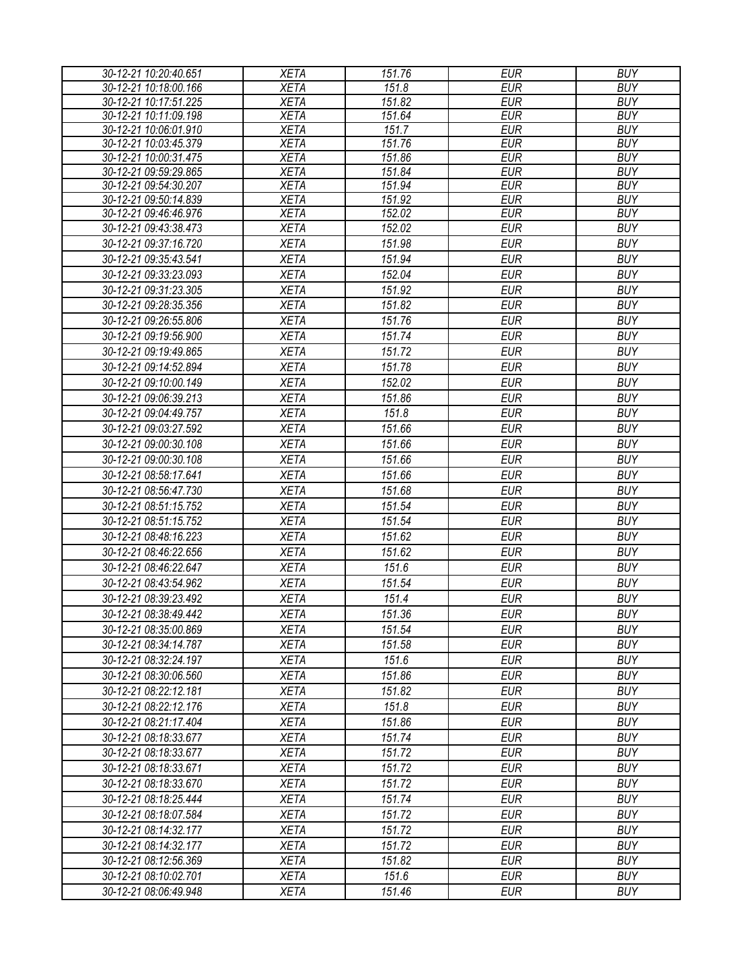| 30-12-21 10:20:40.651                          | <b>XETA</b>                | 151.76           | <b>EUR</b>               | <b>BUY</b>               |
|------------------------------------------------|----------------------------|------------------|--------------------------|--------------------------|
| 30-12-21 10:18:00.166                          | <b>XETA</b>                | 151.8            | <b>EUR</b>               | <b>BUY</b>               |
| 30-12-21 10:17:51.225                          | <b>XETA</b>                | 151.82           | <b>EUR</b>               | <b>BUY</b>               |
| 30-12-21 10:11:09.198                          | <b>XETA</b>                | 151.64           | <b>EUR</b>               | <b>BUY</b>               |
| 30-12-21 10:06:01.910                          | <b>XETA</b>                | 151.7            | <b>EUR</b>               | <b>BUY</b>               |
| 30-12-21 10:03:45.379                          | <b>XETA</b>                | 151.76           | <b>EUR</b>               | <b>BUY</b>               |
| 30-12-21 10:00:31.475                          | <b>XETA</b>                | 151.86           | <b>EUR</b>               | <b>BUY</b>               |
| 30-12-21 09:59:29.865                          | <b>XETA</b>                | 151.84           | <b>EUR</b>               | <b>BUY</b>               |
| 30-12-21 09:54:30.207                          | <b>XETA</b>                | 151.94           | <b>EUR</b>               | <b>BUY</b>               |
| 30-12-21 09:50:14.839<br>30-12-21 09:46:46.976 | <b>XETA</b><br><b>XETA</b> | 151.92<br>152.02 | <b>EUR</b><br><b>EUR</b> | <b>BUY</b><br><b>BUY</b> |
| 30-12-21 09:43:38.473                          | <b>XETA</b>                | 152.02           | <b>EUR</b>               | <b>BUY</b>               |
| 30-12-21 09:37:16.720                          |                            |                  |                          | <b>BUY</b>               |
|                                                | <b>XETA</b>                | 151.98           | <b>EUR</b>               |                          |
| 30-12-21 09:35:43.541                          | <b>XETA</b>                | 151.94           | <b>EUR</b>               | <b>BUY</b>               |
| 30-12-21 09:33:23.093                          | <b>XETA</b>                | 152.04           | <b>EUR</b>               | <b>BUY</b>               |
| 30-12-21 09:31:23.305                          | <b>XETA</b>                | 151.92           | <b>EUR</b>               | <b>BUY</b>               |
| 30-12-21 09:28:35.356                          | <b>XETA</b>                | 151.82           | <b>EUR</b>               | <b>BUY</b>               |
| 30-12-21 09:26:55.806                          | <b>XETA</b>                | 151.76           | <b>EUR</b>               | <b>BUY</b>               |
| 30-12-21 09:19:56.900                          | <b>XETA</b>                | 151.74           | <b>EUR</b>               | <b>BUY</b>               |
| 30-12-21 09:19:49.865                          | <b>XETA</b>                | 151.72           | <b>EUR</b>               | <b>BUY</b>               |
| 30-12-21 09:14:52.894                          | <b>XETA</b>                | 151.78           | <b>EUR</b>               | <b>BUY</b>               |
| 30-12-21 09:10:00.149                          | <b>XETA</b>                | 152.02           | <b>EUR</b>               | <b>BUY</b>               |
| 30-12-21 09:06:39.213                          | <b>XETA</b>                | 151.86           | <b>EUR</b>               | <b>BUY</b>               |
| 30-12-21 09:04:49.757                          | <b>XETA</b>                | 151.8            | <b>EUR</b>               | <b>BUY</b>               |
| 30-12-21 09:03:27.592                          | <b>XETA</b>                | 151.66           | <b>EUR</b>               | <b>BUY</b>               |
| 30-12-21 09:00:30.108                          | <b>XETA</b>                | 151.66           | <b>EUR</b>               | <b>BUY</b>               |
| 30-12-21 09:00:30.108                          | <b>XETA</b>                | 151.66           | <b>EUR</b>               | <b>BUY</b>               |
| 30-12-21 08:58:17.641                          | <b>XETA</b>                | 151.66           | <b>EUR</b>               | <b>BUY</b>               |
| 30-12-21 08:56:47.730                          | <b>XETA</b>                | 151.68           | <b>EUR</b>               | <b>BUY</b>               |
| 30-12-21 08:51:15.752                          | <b>XETA</b>                | 151.54           | <b>EUR</b>               | <b>BUY</b>               |
| 30-12-21 08:51:15.752                          | <b>XETA</b>                | 151.54           | <b>EUR</b>               | <b>BUY</b>               |
| 30-12-21 08:48:16.223                          | <b>XETA</b>                | 151.62           | <b>EUR</b>               | <b>BUY</b>               |
| 30-12-21 08:46:22.656                          | <b>XETA</b>                | 151.62           | <b>EUR</b>               | <b>BUY</b>               |
| 30-12-21 08:46:22.647                          | <b>XETA</b>                | 151.6            | <b>EUR</b>               | <b>BUY</b>               |
| 30-12-21 08:43:54.962                          | <b>XETA</b>                | 151.54           | <b>EUR</b>               | <b>BUY</b>               |
| 30-12-21 08:39:23.492                          | <b>XETA</b>                | 151.4            | <b>EUR</b>               | <b>BUY</b>               |
| 30-12-21 08:38:49.442                          | <b>XETA</b>                | 151.36           | <b>EUR</b>               | <b>BUY</b>               |
| 30-12-21 08:35:00.869                          | <b>XETA</b>                | 151.54           | <b>EUR</b>               | <b>BUY</b>               |
| 30-12-21 08:34:14.787                          | <b>XETA</b>                | 151.58           | <b>EUR</b>               | <b>BUY</b>               |
| 30-12-21 08:32:24.197                          | <b>XETA</b>                | 151.6            | <b>EUR</b>               | <b>BUY</b>               |
| 30-12-21 08:30:06.560                          | <b>XETA</b>                | 151.86           | <b>EUR</b>               | <b>BUY</b>               |
| 30-12-21 08:22:12.181                          | <b>XETA</b>                | 151.82           | <b>EUR</b>               | <b>BUY</b>               |
| 30-12-21 08:22:12.176                          | <b>XETA</b>                | 151.8            | <b>EUR</b>               | <b>BUY</b>               |
| 30-12-21 08:21:17.404                          | <b>XETA</b>                | 151.86           | EUR                      | <b>BUY</b>               |
| 30-12-21 08:18:33.677                          | <b>XETA</b>                | 151.74           | <b>EUR</b>               | <b>BUY</b>               |
| 30-12-21 08:18:33.677                          | <b>XETA</b>                | 151.72           | <b>EUR</b>               | <b>BUY</b>               |
| 30-12-21 08:18:33.671                          | <b>XETA</b>                | 151.72           | <b>EUR</b>               | <b>BUY</b>               |
| 30-12-21 08:18:33.670                          | <b>XETA</b>                | 151.72           | <b>EUR</b>               | <b>BUY</b>               |
| 30-12-21 08:18:25.444                          | <b>XETA</b>                | 151.74           | <b>EUR</b>               | <b>BUY</b>               |
| 30-12-21 08:18:07.584                          | <b>XETA</b>                | 151.72           | <b>EUR</b>               | <b>BUY</b>               |
|                                                |                            |                  |                          |                          |
| 30-12-21 08:14:32.177                          | <b>XETA</b>                | 151.72           | <b>EUR</b>               | <b>BUY</b>               |
| 30-12-21 08:14:32.177                          | <b>XETA</b>                | 151.72           | <b>EUR</b>               | <b>BUY</b>               |
| 30-12-21 08:12:56.369                          | <b>XETA</b>                | 151.82           | <b>EUR</b>               | <b>BUY</b>               |
| 30-12-21 08:10:02.701                          | <b>XETA</b>                | 151.6            | EUR                      | <b>BUY</b>               |
| 30-12-21 08:06:49.948                          | <b>XETA</b>                | 151.46           | <b>EUR</b>               | <b>BUY</b>               |